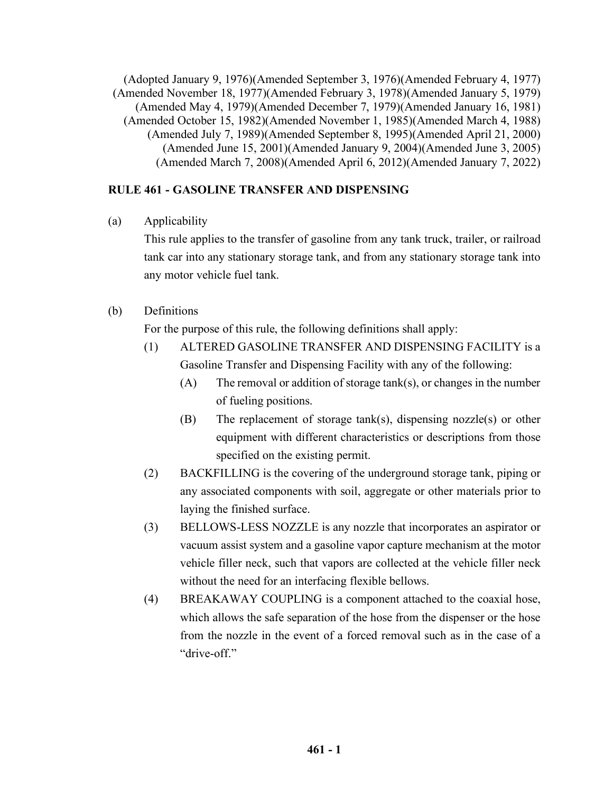(Adopted January 9, 1976)(Amended September 3, 1976)(Amended February 4, 1977) (Amended November 18, 1977)(Amended February 3, 1978)(Amended January 5, 1979) (Amended May 4, 1979)(Amended December 7, 1979)(Amended January 16, 1981) (Amended October 15, 1982)(Amended November 1, 1985)(Amended March 4, 1988) (Amended July 7, 1989)(Amended September 8, 1995)(Amended April 21, 2000) (Amended June 15, 2001)(Amended January 9, 2004)(Amended June 3, 2005) (Amended March 7, 2008)(Amended April 6, 2012)(Amended January 7, 2022)

# **RULE 461 - GASOLINE TRANSFER AND DISPENSING**

(a) Applicability

This rule applies to the transfer of gasoline from any tank truck, trailer, or railroad tank car into any stationary storage tank, and from any stationary storage tank into any motor vehicle fuel tank.

(b) Definitions

For the purpose of this rule, the following definitions shall apply:

- (1) ALTERED GASOLINE TRANSFER AND DISPENSING FACILITY is a Gasoline Transfer and Dispensing Facility with any of the following:
	- (A) The removal or addition of storage tank(s), or changes in the number of fueling positions.
	- (B) The replacement of storage tank(s), dispensing nozzle(s) or other equipment with different characteristics or descriptions from those specified on the existing permit.
- (2) BACKFILLING is the covering of the underground storage tank, piping or any associated components with soil, aggregate or other materials prior to laying the finished surface.
- (3) BELLOWS-LESS NOZZLE is any nozzle that incorporates an aspirator or vacuum assist system and a gasoline vapor capture mechanism at the motor vehicle filler neck, such that vapors are collected at the vehicle filler neck without the need for an interfacing flexible bellows.
- (4) BREAKAWAY COUPLING is a component attached to the coaxial hose, which allows the safe separation of the hose from the dispenser or the hose from the nozzle in the event of a forced removal such as in the case of a "drive-off."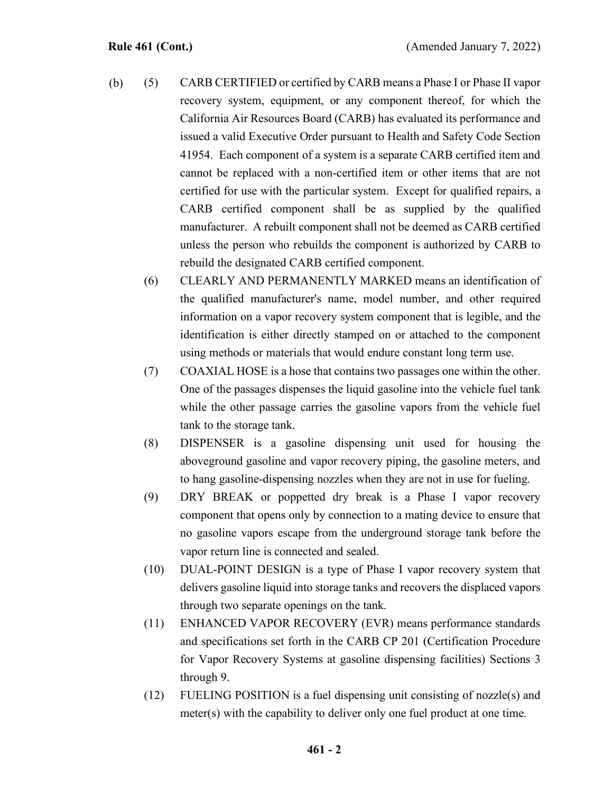- (5) CARB CERTIFIED or certified by CARB means a Phase I or Phase II vapor recovery system, equipment, or any component thereof, for which the California Air Resources Board (CARB) has evaluated its performance and issued a valid Executive Order pursuant to Health and Safety Code Section 41954. Each component of a system is a separate CARB certified item and cannot be replaced with a non-certified item or other items that are not certified for use with the particular system. Except for qualified repairs, a CARB certified component shall be as supplied by the qualified manufacturer. A rebuilt component shall not be deemed as CARB certified unless the person who rebuilds the component is authorized by CARB to rebuild the designated CARB certified component. (b)
	- (6) CLEARLY AND PERMANENTLY MARKED means an identification of the qualified manufacturer's name, model number, and other required information on a vapor recovery system component that is legible, and the identification is either directly stamped on or attached to the component using methods or materials that would endure constant long term use.
	- (7) COAXIAL HOSE is a hose that contains two passages one within the other. One of the passages dispenses the liquid gasoline into the vehicle fuel tank while the other passage carries the gasoline vapors from the vehicle fuel tank to the storage tank.
	- (8) DISPENSER is a gasoline dispensing unit used for housing the aboveground gasoline and vapor recovery piping, the gasoline meters, and to hang gasoline-dispensing nozzles when they are not in use for fueling.
	- (9) DRY BREAK or poppetted dry break is a Phase I vapor recovery component that opens only by connection to a mating device to ensure that no gasoline vapors escape from the underground storage tank before the vapor return line is connected and sealed.
	- (10) DUAL-POINT DESIGN is a type of Phase I vapor recovery system that delivers gasoline liquid into storage tanks and recovers the displaced vapors through two separate openings on the tank.
	- (11) ENHANCED VAPOR RECOVERY (EVR) means performance standards and specifications set forth in the CARB CP 201 (Certification Procedure for Vapor Recovery Systems at gasoline dispensing facilities) Sections 3 through 9.
	- (12) FUELING POSITION is a fuel dispensing unit consisting of nozzle(s) and meter(s) with the capability to deliver only one fuel product at one time.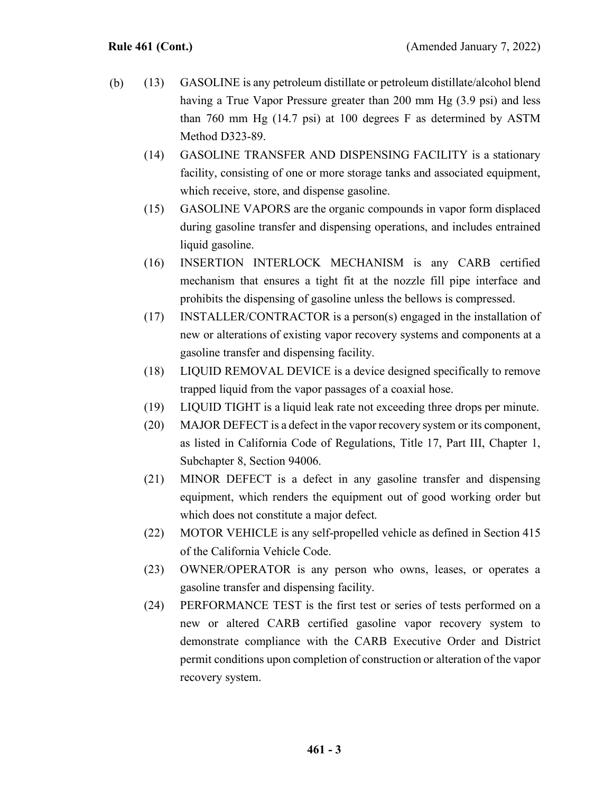- (13) GASOLINE is any petroleum distillate or petroleum distillate/alcohol blend having a True Vapor Pressure greater than 200 mm Hg (3.9 psi) and less than 760 mm Hg (14.7 psi) at 100 degrees F as determined by ASTM Method D323-89. (b)
	- (14) GASOLINE TRANSFER AND DISPENSING FACILITY is a stationary facility, consisting of one or more storage tanks and associated equipment, which receive, store, and dispense gasoline.
	- (15) GASOLINE VAPORS are the organic compounds in vapor form displaced during gasoline transfer and dispensing operations, and includes entrained liquid gasoline.
	- (16) INSERTION INTERLOCK MECHANISM is any CARB certified mechanism that ensures a tight fit at the nozzle fill pipe interface and prohibits the dispensing of gasoline unless the bellows is compressed.
	- (17) INSTALLER/CONTRACTOR is a person(s) engaged in the installation of new or alterations of existing vapor recovery systems and components at a gasoline transfer and dispensing facility.
	- (18) LIQUID REMOVAL DEVICE is a device designed specifically to remove trapped liquid from the vapor passages of a coaxial hose.
	- (19) LIQUID TIGHT is a liquid leak rate not exceeding three drops per minute.
	- (20) MAJOR DEFECT is a defect in the vapor recovery system or its component, as listed in California Code of Regulations, Title 17, Part III, Chapter 1, Subchapter 8, Section 94006.
	- (21) MINOR DEFECT is a defect in any gasoline transfer and dispensing equipment, which renders the equipment out of good working order but which does not constitute a major defect.
	- (22) MOTOR VEHICLE is any self-propelled vehicle as defined in Section 415 of the California Vehicle Code.
	- (23) OWNER/OPERATOR is any person who owns, leases, or operates a gasoline transfer and dispensing facility.
	- (24) PERFORMANCE TEST is the first test or series of tests performed on a new or altered CARB certified gasoline vapor recovery system to demonstrate compliance with the CARB Executive Order and District permit conditions upon completion of construction or alteration of the vapor recovery system.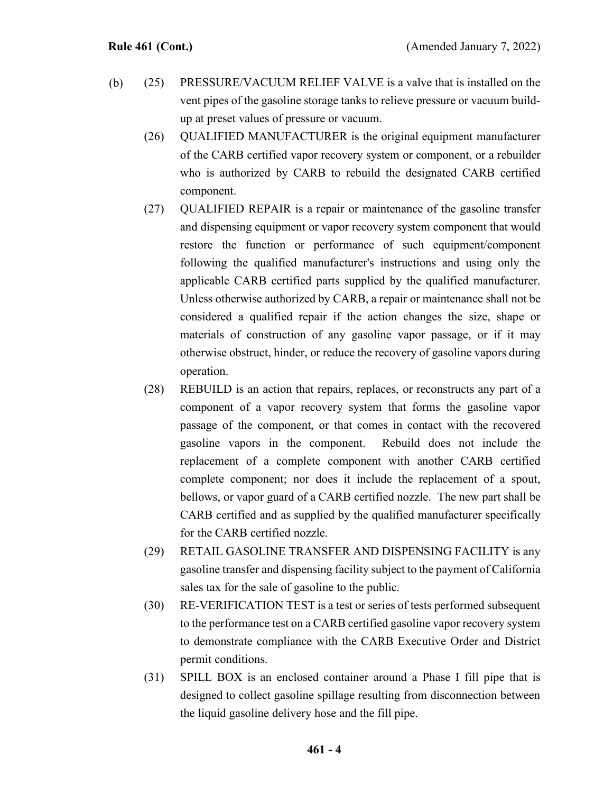- (25) PRESSURE/VACUUM RELIEF VALVE is a valve that is installed on the vent pipes of the gasoline storage tanks to relieve pressure or vacuum buildup at preset values of pressure or vacuum. (b)
	- (26) QUALIFIED MANUFACTURER is the original equipment manufacturer of the CARB certified vapor recovery system or component, or a rebuilder who is authorized by CARB to rebuild the designated CARB certified component.
	- (27) QUALIFIED REPAIR is a repair or maintenance of the gasoline transfer and dispensing equipment or vapor recovery system component that would restore the function or performance of such equipment/component following the qualified manufacturer's instructions and using only the applicable CARB certified parts supplied by the qualified manufacturer. Unless otherwise authorized by CARB, a repair or maintenance shall not be considered a qualified repair if the action changes the size, shape or materials of construction of any gasoline vapor passage, or if it may otherwise obstruct, hinder, or reduce the recovery of gasoline vapors during operation.
	- (28) REBUILD is an action that repairs, replaces, or reconstructs any part of a component of a vapor recovery system that forms the gasoline vapor passage of the component, or that comes in contact with the recovered gasoline vapors in the component. Rebuild does not include the replacement of a complete component with another CARB certified complete component; nor does it include the replacement of a spout, bellows, or vapor guard of a CARB certified nozzle. The new part shall be CARB certified and as supplied by the qualified manufacturer specifically for the CARB certified nozzle.
	- (29) RETAIL GASOLINE TRANSFER AND DISPENSING FACILITY is any gasoline transfer and dispensing facility subject to the payment of California sales tax for the sale of gasoline to the public.
	- (30) RE-VERIFICATION TEST is a test or series of tests performed subsequent to the performance test on a CARB certified gasoline vapor recovery system to demonstrate compliance with the CARB Executive Order and District permit conditions.
	- (31) SPILL BOX is an enclosed container around a Phase I fill pipe that is designed to collect gasoline spillage resulting from disconnection between the liquid gasoline delivery hose and the fill pipe.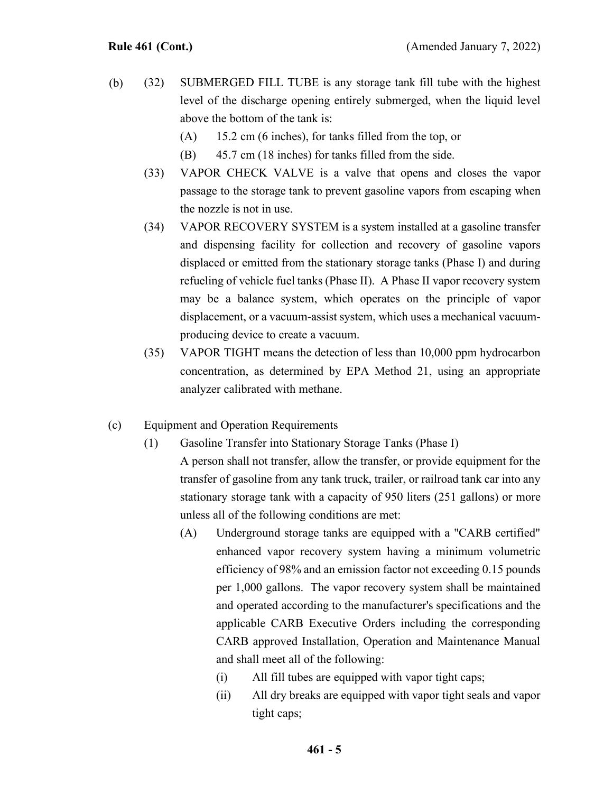- (32) SUBMERGED FILL TUBE is any storage tank fill tube with the highest level of the discharge opening entirely submerged, when the liquid level above the bottom of the tank is: (b)
	- (A) 15.2 cm (6 inches), for tanks filled from the top, or
	- (B) 45.7 cm (18 inches) for tanks filled from the side.
	- (33) VAPOR CHECK VALVE is a valve that opens and closes the vapor passage to the storage tank to prevent gasoline vapors from escaping when the nozzle is not in use.
	- (34) VAPOR RECOVERY SYSTEM is a system installed at a gasoline transfer and dispensing facility for collection and recovery of gasoline vapors displaced or emitted from the stationary storage tanks (Phase I) and during refueling of vehicle fuel tanks (Phase II). A Phase II vapor recovery system may be a balance system, which operates on the principle of vapor displacement, or a vacuum-assist system, which uses a mechanical vacuumproducing device to create a vacuum.
	- (35) VAPOR TIGHT means the detection of less than 10,000 ppm hydrocarbon concentration, as determined by EPA Method 21, using an appropriate analyzer calibrated with methane.
- (c) Equipment and Operation Requirements
	- (1) Gasoline Transfer into Stationary Storage Tanks (Phase I) A person shall not transfer, allow the transfer, or provide equipment for the transfer of gasoline from any tank truck, trailer, or railroad tank car into any stationary storage tank with a capacity of 950 liters (251 gallons) or more

unless all of the following conditions are met:

- (A) Underground storage tanks are equipped with a "CARB certified" enhanced vapor recovery system having a minimum volumetric efficiency of 98% and an emission factor not exceeding 0.15 pounds per 1,000 gallons. The vapor recovery system shall be maintained and operated according to the manufacturer's specifications and the applicable CARB Executive Orders including the corresponding CARB approved Installation, Operation and Maintenance Manual and shall meet all of the following:
	- (i) All fill tubes are equipped with vapor tight caps;
	- (ii) All dry breaks are equipped with vapor tight seals and vapor tight caps;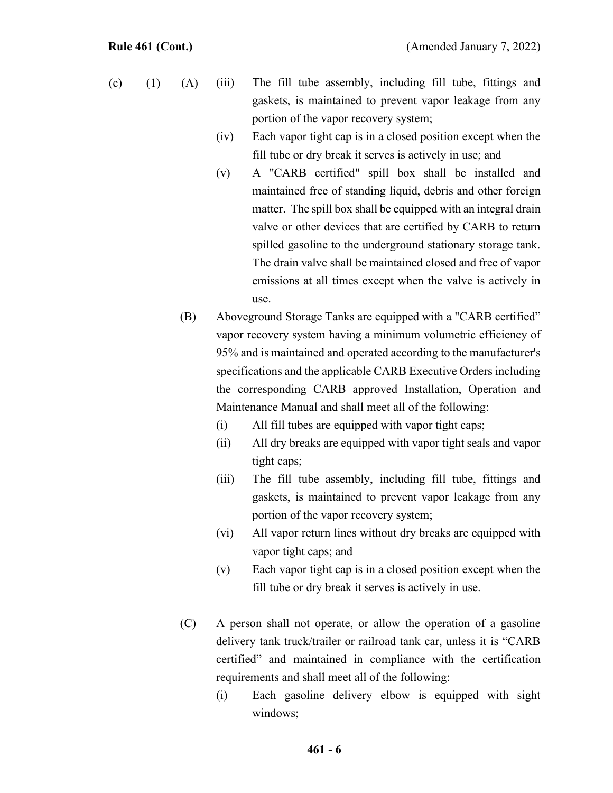- (iii) The fill tube assembly, including fill tube, fittings and gaskets, is maintained to prevent vapor leakage from any portion of the vapor recovery system; (c)  $(1)$   $(A)$ 
	- (iv) Each vapor tight cap is in a closed position except when the fill tube or dry break it serves is actively in use; and
	- (v) A "CARB certified" spill box shall be installed and maintained free of standing liquid, debris and other foreign matter. The spill box shall be equipped with an integral drain valve or other devices that are certified by CARB to return spilled gasoline to the underground stationary storage tank. The drain valve shall be maintained closed and free of vapor emissions at all times except when the valve is actively in use.
	- (B) Aboveground Storage Tanks are equipped with a "CARB certified" vapor recovery system having a minimum volumetric efficiency of 95% and is maintained and operated according to the manufacturer's specifications and the applicable CARB Executive Orders including the corresponding CARB approved Installation, Operation and Maintenance Manual and shall meet all of the following:
		- (i) All fill tubes are equipped with vapor tight caps;
		- (ii) All dry breaks are equipped with vapor tight seals and vapor tight caps;
		- (iii) The fill tube assembly, including fill tube, fittings and gaskets, is maintained to prevent vapor leakage from any portion of the vapor recovery system;
		- (vi) All vapor return lines without dry breaks are equipped with vapor tight caps; and
		- (v) Each vapor tight cap is in a closed position except when the fill tube or dry break it serves is actively in use.
	- (C) A person shall not operate, or allow the operation of a gasoline delivery tank truck/trailer or railroad tank car, unless it is "CARB certified" and maintained in compliance with the certification requirements and shall meet all of the following:
		- (i) Each gasoline delivery elbow is equipped with sight windows;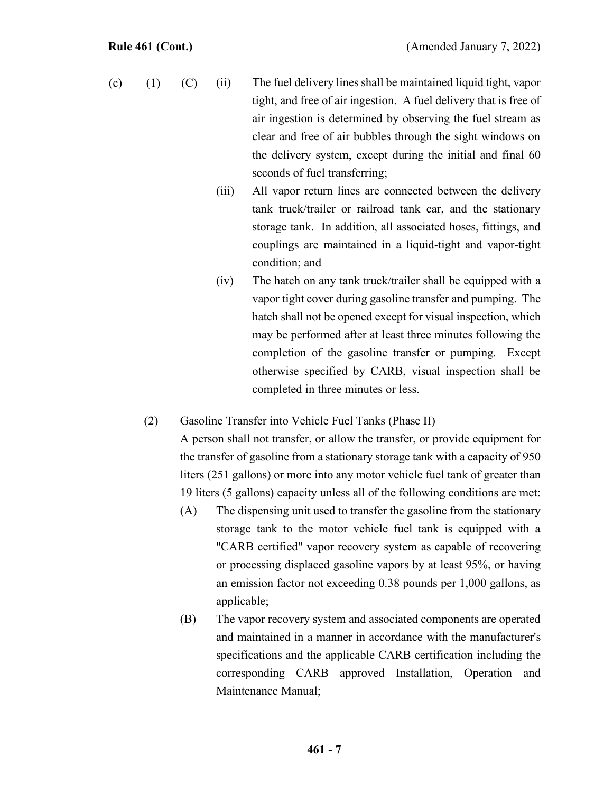- (ii) The fuel delivery lines shall be maintained liquid tight, vapor tight, and free of air ingestion. A fuel delivery that is free of air ingestion is determined by observing the fuel stream as clear and free of air bubbles through the sight windows on the delivery system, except during the initial and final 60 seconds of fuel transferring; (c)  $(1)$   $(C)$ 
	- (iii) All vapor return lines are connected between the delivery tank truck/trailer or railroad tank car, and the stationary storage tank. In addition, all associated hoses, fittings, and couplings are maintained in a liquid-tight and vapor-tight condition; and
	- (iv) The hatch on any tank truck/trailer shall be equipped with a vapor tight cover during gasoline transfer and pumping. The hatch shall not be opened except for visual inspection, which may be performed after at least three minutes following the completion of the gasoline transfer or pumping. Except otherwise specified by CARB, visual inspection shall be completed in three minutes or less.
	- (2) Gasoline Transfer into Vehicle Fuel Tanks (Phase II)

A person shall not transfer, or allow the transfer, or provide equipment for the transfer of gasoline from a stationary storage tank with a capacity of 950 liters (251 gallons) or more into any motor vehicle fuel tank of greater than 19 liters (5 gallons) capacity unless all of the following conditions are met:

- (A) The dispensing unit used to transfer the gasoline from the stationary storage tank to the motor vehicle fuel tank is equipped with a "CARB certified" vapor recovery system as capable of recovering or processing displaced gasoline vapors by at least 95%, or having an emission factor not exceeding 0.38 pounds per 1,000 gallons, as applicable;
- (B) The vapor recovery system and associated components are operated and maintained in a manner in accordance with the manufacturer's specifications and the applicable CARB certification including the corresponding CARB approved Installation, Operation and Maintenance Manual;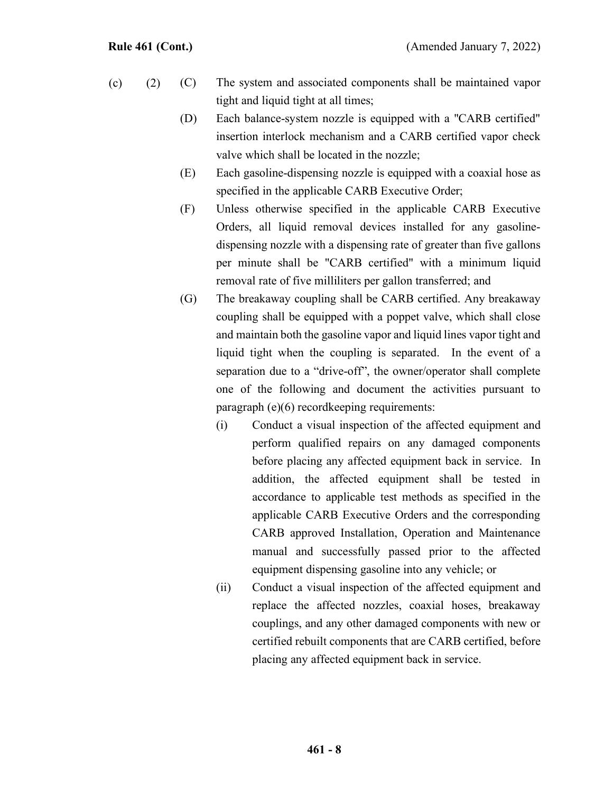- (C) The system and associated components shall be maintained vapor tight and liquid tight at all times;  $(c)$  (2)
	- (D) Each balance-system nozzle is equipped with a "CARB certified" insertion interlock mechanism and a CARB certified vapor check valve which shall be located in the nozzle;
	- (E) Each gasoline-dispensing nozzle is equipped with a coaxial hose as specified in the applicable CARB Executive Order;
	- (F) Unless otherwise specified in the applicable CARB Executive Orders, all liquid removal devices installed for any gasolinedispensing nozzle with a dispensing rate of greater than five gallons per minute shall be "CARB certified" with a minimum liquid removal rate of five milliliters per gallon transferred; and
	- (G) The breakaway coupling shall be CARB certified. Any breakaway coupling shall be equipped with a poppet valve, which shall close and maintain both the gasoline vapor and liquid lines vapor tight and liquid tight when the coupling is separated. In the event of a separation due to a "drive-off", the owner/operator shall complete one of the following and document the activities pursuant to paragraph (e)(6) recordkeeping requirements:
		- (i) Conduct a visual inspection of the affected equipment and perform qualified repairs on any damaged components before placing any affected equipment back in service. In addition, the affected equipment shall be tested in accordance to applicable test methods as specified in the applicable CARB Executive Orders and the corresponding CARB approved Installation, Operation and Maintenance manual and successfully passed prior to the affected equipment dispensing gasoline into any vehicle; or
		- (ii) Conduct a visual inspection of the affected equipment and replace the affected nozzles, coaxial hoses, breakaway couplings, and any other damaged components with new or certified rebuilt components that are CARB certified, before placing any affected equipment back in service.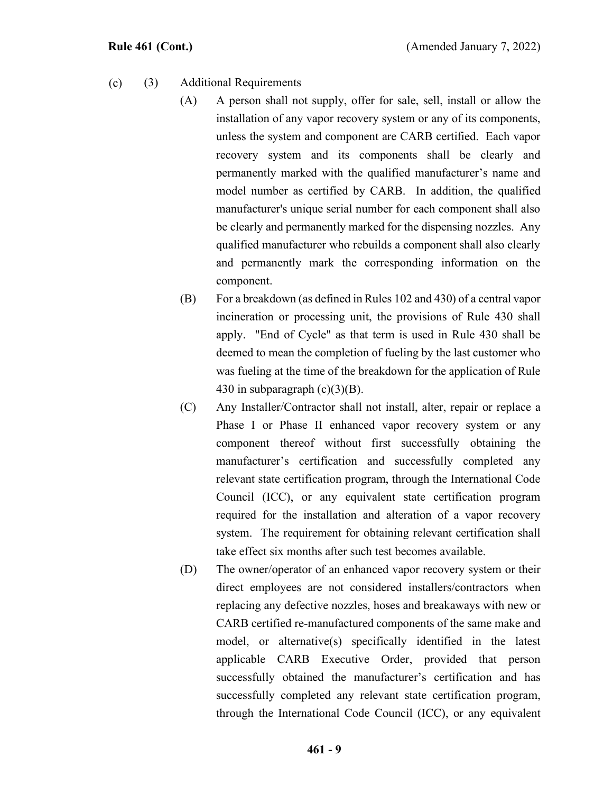- (3) Additional Requirements (c)
	- (A) A person shall not supply, offer for sale, sell, install or allow the installation of any vapor recovery system or any of its components, unless the system and component are CARB certified. Each vapor recovery system and its components shall be clearly and permanently marked with the qualified manufacturer's name and model number as certified by CARB. In addition, the qualified manufacturer's unique serial number for each component shall also be clearly and permanently marked for the dispensing nozzles. Any qualified manufacturer who rebuilds a component shall also clearly and permanently mark the corresponding information on the component.
	- (B) For a breakdown (as defined in Rules 102 and 430) of a central vapor incineration or processing unit, the provisions of Rule 430 shall apply. "End of Cycle" as that term is used in Rule 430 shall be deemed to mean the completion of fueling by the last customer who was fueling at the time of the breakdown for the application of Rule 430 in subparagraph  $(c)(3)(B)$ .
	- (C) Any Installer/Contractor shall not install, alter, repair or replace a Phase I or Phase II enhanced vapor recovery system or any component thereof without first successfully obtaining the manufacturer's certification and successfully completed any relevant state certification program, through the International Code Council (ICC), or any equivalent state certification program required for the installation and alteration of a vapor recovery system. The requirement for obtaining relevant certification shall take effect six months after such test becomes available.
	- (D) The owner/operator of an enhanced vapor recovery system or their direct employees are not considered installers/contractors when replacing any defective nozzles, hoses and breakaways with new or CARB certified re-manufactured components of the same make and model, or alternative(s) specifically identified in the latest applicable CARB Executive Order, provided that person successfully obtained the manufacturer's certification and has successfully completed any relevant state certification program, through the International Code Council (ICC), or any equivalent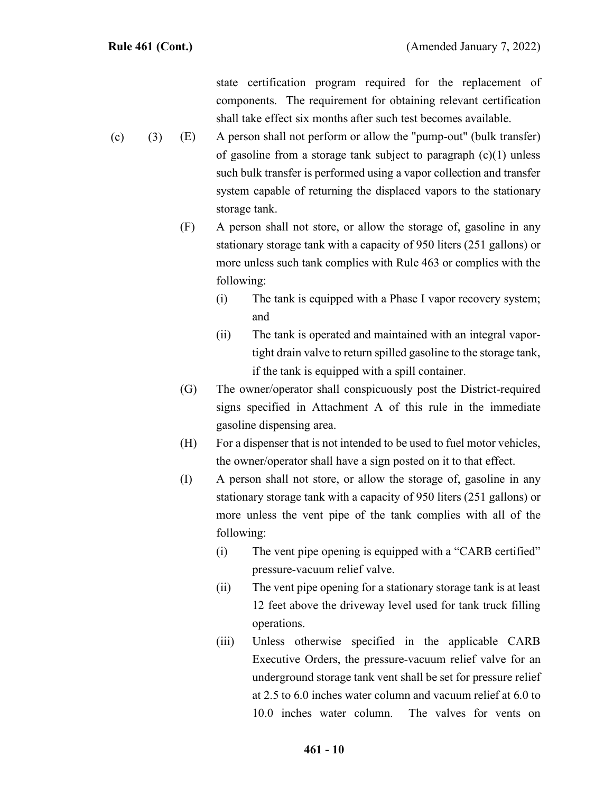state certification program required for the replacement of components. The requirement for obtaining relevant certification shall take effect six months after such test becomes available.

- (E) A person shall not perform or allow the "pump-out" (bulk transfer) of gasoline from a storage tank subject to paragraph  $(c)(1)$  unless such bulk transfer is performed using a vapor collection and transfer system capable of returning the displaced vapors to the stationary storage tank.  $(c) (3)$ 
	- (F) A person shall not store, or allow the storage of, gasoline in any stationary storage tank with a capacity of 950 liters (251 gallons) or more unless such tank complies with Rule 463 or complies with the following:
		- (i) The tank is equipped with a Phase I vapor recovery system; and
		- (ii) The tank is operated and maintained with an integral vaportight drain valve to return spilled gasoline to the storage tank, if the tank is equipped with a spill container.
	- (G) The owner/operator shall conspicuously post the District-required signs specified in Attachment A of this rule in the immediate gasoline dispensing area.
	- (H) For a dispenser that is not intended to be used to fuel motor vehicles, the owner/operator shall have a sign posted on it to that effect.
	- (I) A person shall not store, or allow the storage of, gasoline in any stationary storage tank with a capacity of 950 liters (251 gallons) or more unless the vent pipe of the tank complies with all of the following:
		- (i) The vent pipe opening is equipped with a "CARB certified" pressure-vacuum relief valve.
		- (ii) The vent pipe opening for a stationary storage tank is at least 12 feet above the driveway level used for tank truck filling operations.
		- (iii) Unless otherwise specified in the applicable CARB Executive Orders, the pressure-vacuum relief valve for an underground storage tank vent shall be set for pressure relief at 2.5 to 6.0 inches water column and vacuum relief at 6.0 to 10.0 inches water column. The valves for vents on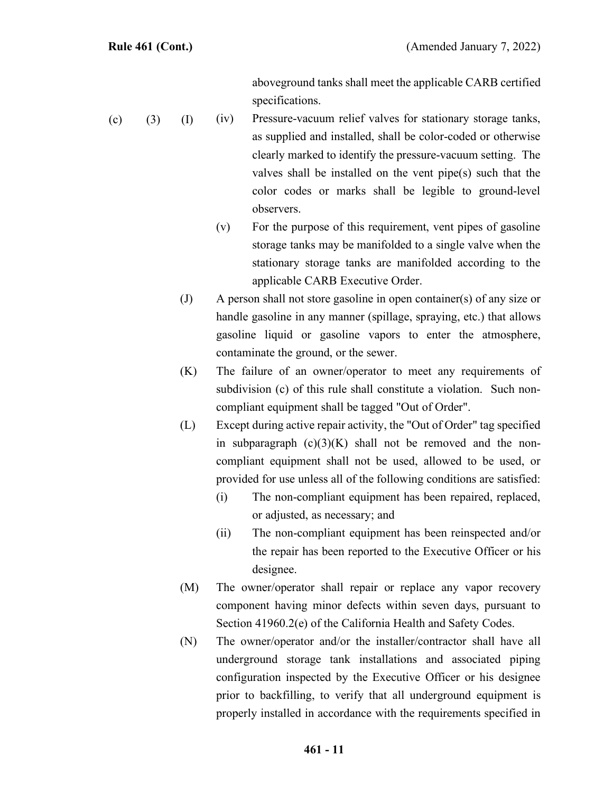aboveground tanks shall meet the applicable CARB certified specifications.

- (iv) Pressure-vacuum relief valves for stationary storage tanks, as supplied and installed, shall be color-coded or otherwise clearly marked to identify the pressure-vacuum setting. The valves shall be installed on the vent pipe(s) such that the color codes or marks shall be legible to ground-level observers. (c)  $(3)$   $(I)$ 
	- (v) For the purpose of this requirement, vent pipes of gasoline storage tanks may be manifolded to a single valve when the stationary storage tanks are manifolded according to the applicable CARB Executive Order.
	- (J) A person shall not store gasoline in open container(s) of any size or handle gasoline in any manner (spillage, spraying, etc.) that allows gasoline liquid or gasoline vapors to enter the atmosphere, contaminate the ground, or the sewer.
	- (K) The failure of an owner/operator to meet any requirements of subdivision (c) of this rule shall constitute a violation. Such noncompliant equipment shall be tagged "Out of Order".
	- (L) Except during active repair activity, the "Out of Order" tag specified in subparagraph  $(c)(3)(K)$  shall not be removed and the noncompliant equipment shall not be used, allowed to be used, or provided for use unless all of the following conditions are satisfied:
		- (i) The non-compliant equipment has been repaired, replaced, or adjusted, as necessary; and
		- (ii) The non-compliant equipment has been reinspected and/or the repair has been reported to the Executive Officer or his designee.
	- (M) The owner/operator shall repair or replace any vapor recovery component having minor defects within seven days, pursuant to Section 41960.2(e) of the California Health and Safety Codes.
	- (N) The owner/operator and/or the installer/contractor shall have all underground storage tank installations and associated piping configuration inspected by the Executive Officer or his designee prior to backfilling, to verify that all underground equipment is properly installed in accordance with the requirements specified in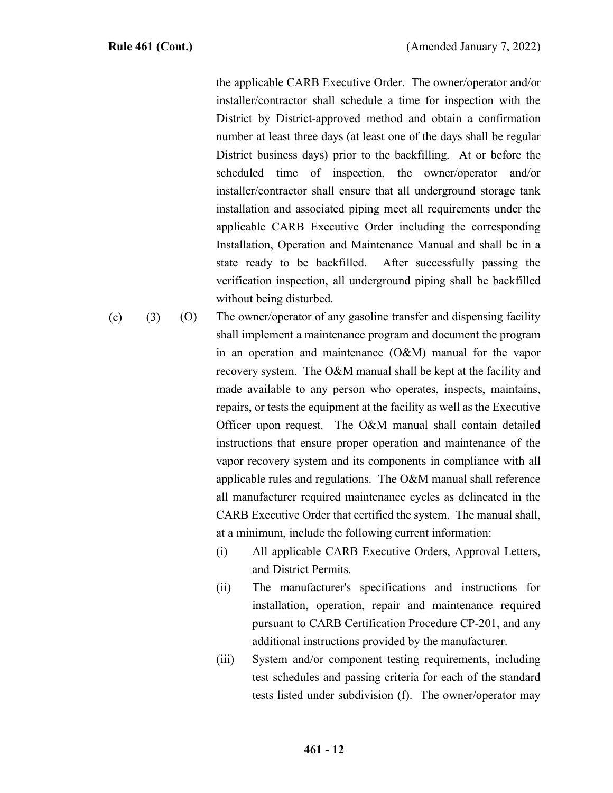the applicable CARB Executive Order. The owner/operator and/or installer/contractor shall schedule a time for inspection with the District by District-approved method and obtain a confirmation number at least three days (at least one of the days shall be regular District business days) prior to the backfilling. At or before the scheduled time of inspection, the owner/operator and/or installer/contractor shall ensure that all underground storage tank installation and associated piping meet all requirements under the applicable CARB Executive Order including the corresponding Installation, Operation and Maintenance Manual and shall be in a state ready to be backfilled. After successfully passing the verification inspection, all underground piping shall be backfilled without being disturbed.

- (O) The owner/operator of any gasoline transfer and dispensing facility shall implement a maintenance program and document the program in an operation and maintenance (O&M) manual for the vapor recovery system. The O&M manual shall be kept at the facility and made available to any person who operates, inspects, maintains, repairs, or tests the equipment at the facility as well as the Executive Officer upon request. The O&M manual shall contain detailed instructions that ensure proper operation and maintenance of the vapor recovery system and its components in compliance with all applicable rules and regulations. The O&M manual shall reference all manufacturer required maintenance cycles as delineated in the CARB Executive Order that certified the system. The manual shall, at a minimum, include the following current information:  $(c)$  (3)
	- (i) All applicable CARB Executive Orders, Approval Letters, and District Permits.
	- (ii) The manufacturer's specifications and instructions for installation, operation, repair and maintenance required pursuant to CARB Certification Procedure CP-201, and any additional instructions provided by the manufacturer.
	- (iii) System and/or component testing requirements, including test schedules and passing criteria for each of the standard tests listed under subdivision (f). The owner/operator may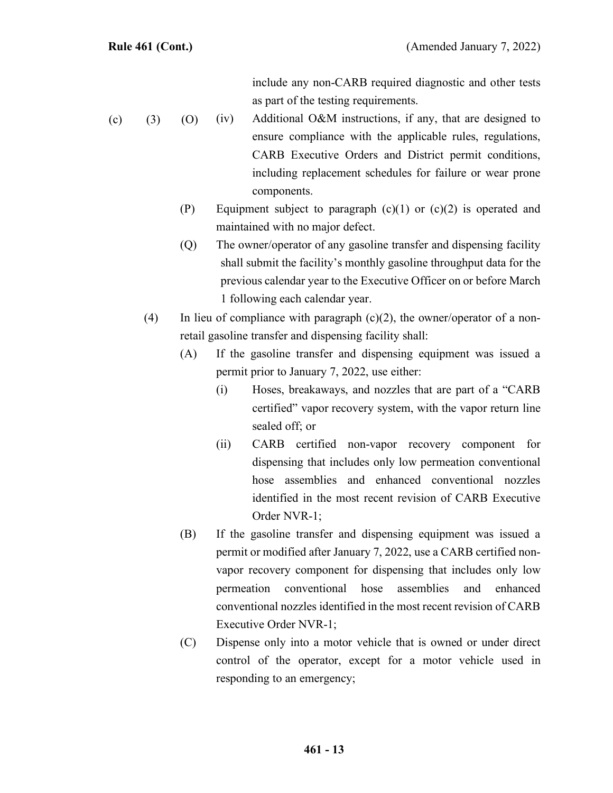include any non-CARB required diagnostic and other tests as part of the testing requirements.

- (iv) Additional O&M instructions, if any, that are designed to ensure compliance with the applicable rules, regulations, CARB Executive Orders and District permit conditions, including replacement schedules for failure or wear prone components. (c)  $(3)$   $(0)$ 
	- (P) Equipment subject to paragraph  $(c)(1)$  or  $(c)(2)$  is operated and maintained with no major defect.
	- (Q) The owner/operator of any gasoline transfer and dispensing facility shall submit the facility's monthly gasoline throughput data for the previous calendar year to the Executive Officer on or before March 1 following each calendar year.
	- (4) In lieu of compliance with paragraph  $(c)(2)$ , the owner/operator of a nonretail gasoline transfer and dispensing facility shall:
		- (A) If the gasoline transfer and dispensing equipment was issued a permit prior to January 7, 2022, use either:
			- (i) Hoses, breakaways, and nozzles that are part of a "CARB certified" vapor recovery system, with the vapor return line sealed off; or
			- (ii) CARB certified non-vapor recovery component for dispensing that includes only low permeation conventional hose assemblies and enhanced conventional nozzles identified in the most recent revision of CARB Executive Order NVR-1;
		- (B) If the gasoline transfer and dispensing equipment was issued a permit or modified after January 7, 2022, use a CARB certified nonvapor recovery component for dispensing that includes only low permeation conventional hose assemblies and enhanced conventional nozzles identified in the most recent revision of CARB Executive Order NVR-1;
		- (C) Dispense only into a motor vehicle that is owned or under direct control of the operator, except for a motor vehicle used in responding to an emergency;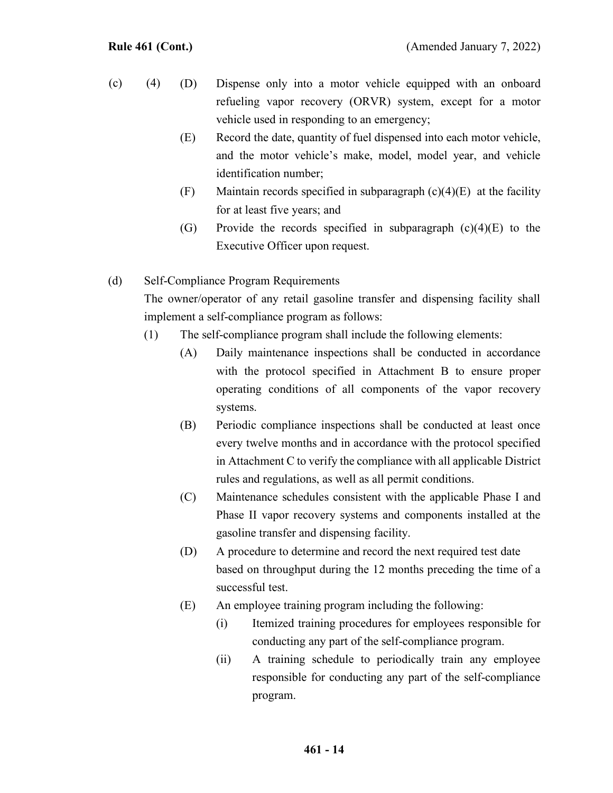- (D) Dispense only into a motor vehicle equipped with an onboard refueling vapor recovery (ORVR) system, except for a motor vehicle used in responding to an emergency;  $(c)$  (4)
	- (E) Record the date, quantity of fuel dispensed into each motor vehicle, and the motor vehicle's make, model, model year, and vehicle identification number;
	- (F) Maintain records specified in subparagraph  $(c)(4)(E)$  at the facility for at least five years; and
	- (G) Provide the records specified in subparagraph (c)(4)(E) to the Executive Officer upon request.

### (d) Self-Compliance Program Requirements

The owner/operator of any retail gasoline transfer and dispensing facility shall implement a self-compliance program as follows:

- (1) The self-compliance program shall include the following elements:
	- (A) Daily maintenance inspections shall be conducted in accordance with the protocol specified in Attachment B to ensure proper operating conditions of all components of the vapor recovery systems.
	- (B) Periodic compliance inspections shall be conducted at least once every twelve months and in accordance with the protocol specified in Attachment C to verify the compliance with all applicable District rules and regulations, as well as all permit conditions.
	- (C) Maintenance schedules consistent with the applicable Phase I and Phase II vapor recovery systems and components installed at the gasoline transfer and dispensing facility.
	- (D) A procedure to determine and record the next required test date based on throughput during the 12 months preceding the time of a successful test.
	- (E) An employee training program including the following:
		- (i) Itemized training procedures for employees responsible for conducting any part of the self-compliance program.
		- (ii) A training schedule to periodically train any employee responsible for conducting any part of the self-compliance program.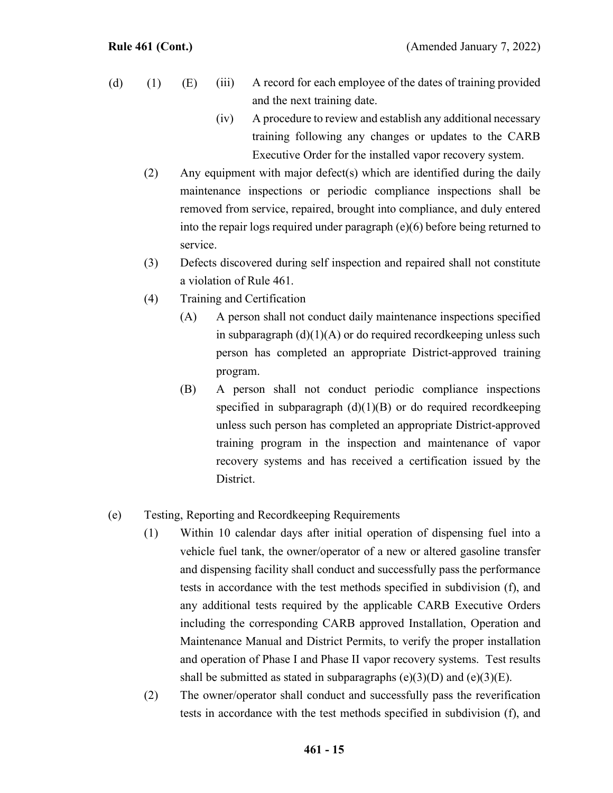- (iii) A record for each employee of the dates of training provided and the next training date. (d)  $(1)$   $(E)$ 
	- (iv) A procedure to review and establish any additional necessary training following any changes or updates to the CARB Executive Order for the installed vapor recovery system.
	- (2) Any equipment with major defect(s) which are identified during the daily maintenance inspections or periodic compliance inspections shall be removed from service, repaired, brought into compliance, and duly entered into the repair logs required under paragraph (e)(6) before being returned to service.
	- (3) Defects discovered during self inspection and repaired shall not constitute a violation of Rule 461.
	- (4) Training and Certification
		- (A) A person shall not conduct daily maintenance inspections specified in subparagraph  $(d)(1)(A)$  or do required record keeping unless such person has completed an appropriate District-approved training program.
		- (B) A person shall not conduct periodic compliance inspections specified in subparagraph  $(d)(1)(B)$  or do required recordkeeping unless such person has completed an appropriate District-approved training program in the inspection and maintenance of vapor recovery systems and has received a certification issued by the District.
- (e) Testing, Reporting and Recordkeeping Requirements
	- (1) Within 10 calendar days after initial operation of dispensing fuel into a vehicle fuel tank, the owner/operator of a new or altered gasoline transfer and dispensing facility shall conduct and successfully pass the performance tests in accordance with the test methods specified in subdivision (f), and any additional tests required by the applicable CARB Executive Orders including the corresponding CARB approved Installation, Operation and Maintenance Manual and District Permits, to verify the proper installation and operation of Phase I and Phase II vapor recovery systems. Test results shall be submitted as stated in subparagraphs  $(e)(3)(D)$  and  $(e)(3)(E)$ .
	- (2) The owner/operator shall conduct and successfully pass the reverification tests in accordance with the test methods specified in subdivision (f), and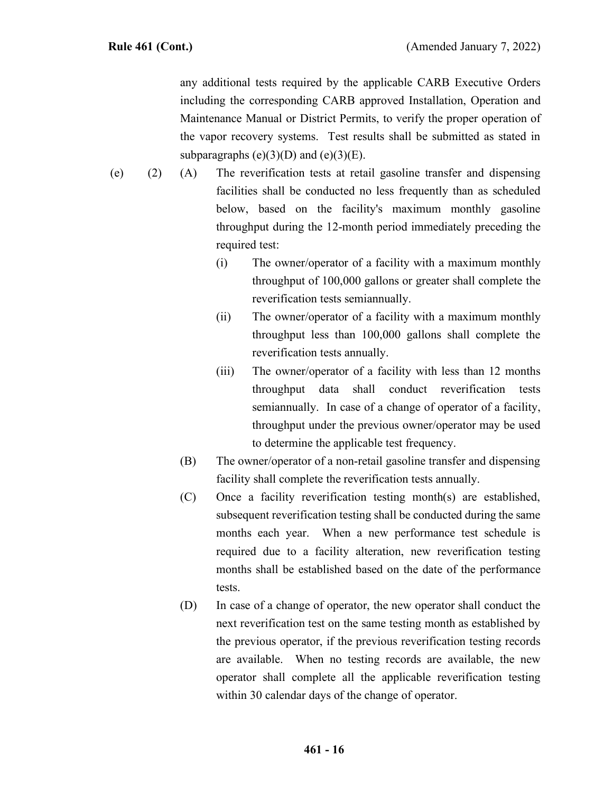any additional tests required by the applicable CARB Executive Orders including the corresponding CARB approved Installation, Operation and Maintenance Manual or District Permits, to verify the proper operation of the vapor recovery systems. Test results shall be submitted as stated in subparagraphs  $(e)(3)(D)$  and  $(e)(3)(E)$ .

- (A) The reverification tests at retail gasoline transfer and dispensing facilities shall be conducted no less frequently than as scheduled below, based on the facility's maximum monthly gasoline throughput during the 12-month period immediately preceding the required test:  $(e)$  (2)
	- (i) The owner/operator of a facility with a maximum monthly throughput of 100,000 gallons or greater shall complete the reverification tests semiannually.
	- (ii) The owner/operator of a facility with a maximum monthly throughput less than 100,000 gallons shall complete the reverification tests annually.
	- (iii) The owner/operator of a facility with less than 12 months throughput data shall conduct reverification tests semiannually. In case of a change of operator of a facility, throughput under the previous owner/operator may be used to determine the applicable test frequency.
	- (B) The owner/operator of a non-retail gasoline transfer and dispensing facility shall complete the reverification tests annually.
	- (C) Once a facility reverification testing month(s) are established, subsequent reverification testing shall be conducted during the same months each year. When a new performance test schedule is required due to a facility alteration, new reverification testing months shall be established based on the date of the performance tests.
	- (D) In case of a change of operator, the new operator shall conduct the next reverification test on the same testing month as established by the previous operator, if the previous reverification testing records are available. When no testing records are available, the new operator shall complete all the applicable reverification testing within 30 calendar days of the change of operator.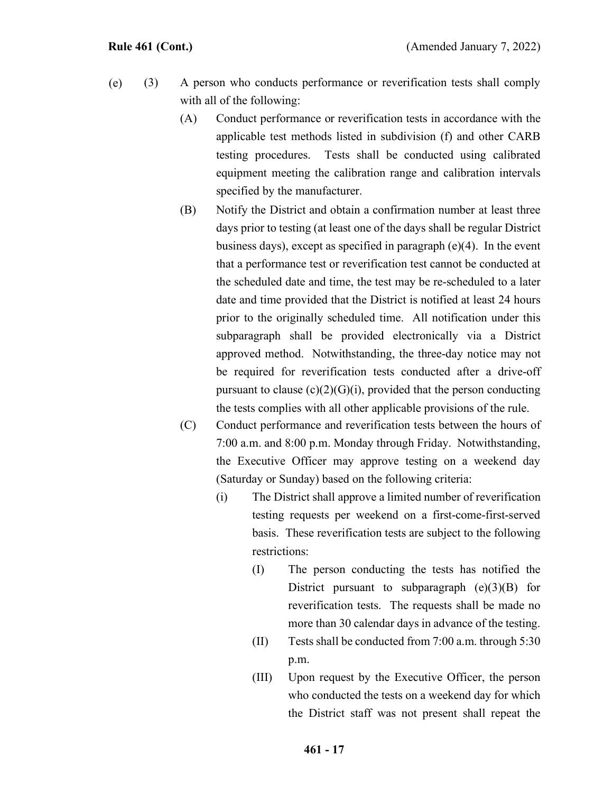- (3) A person who conducts performance or reverification tests shall comply with all of the following: (e)
	- (A) Conduct performance or reverification tests in accordance with the applicable test methods listed in subdivision (f) and other CARB testing procedures. Tests shall be conducted using calibrated equipment meeting the calibration range and calibration intervals specified by the manufacturer.
	- (B) Notify the District and obtain a confirmation number at least three days prior to testing (at least one of the days shall be regular District business days), except as specified in paragraph (e)(4). In the event that a performance test or reverification test cannot be conducted at the scheduled date and time, the test may be re-scheduled to a later date and time provided that the District is notified at least 24 hours prior to the originally scheduled time. All notification under this subparagraph shall be provided electronically via a District approved method. Notwithstanding, the three-day notice may not be required for reverification tests conducted after a drive-off pursuant to clause  $(c)(2)(G)(i)$ , provided that the person conducting the tests complies with all other applicable provisions of the rule.
	- (C) Conduct performance and reverification tests between the hours of 7:00 a.m. and 8:00 p.m. Monday through Friday. Notwithstanding, the Executive Officer may approve testing on a weekend day (Saturday or Sunday) based on the following criteria:
		- (i) The District shall approve a limited number of reverification testing requests per weekend on a first-come-first-served basis. These reverification tests are subject to the following restrictions:
			- (I) The person conducting the tests has notified the District pursuant to subparagraph  $(e)(3)(B)$  for reverification tests. The requests shall be made no more than 30 calendar days in advance of the testing.
			- (II) Tests shall be conducted from 7:00 a.m. through 5:30 p.m.
			- (III) Upon request by the Executive Officer, the person who conducted the tests on a weekend day for which the District staff was not present shall repeat the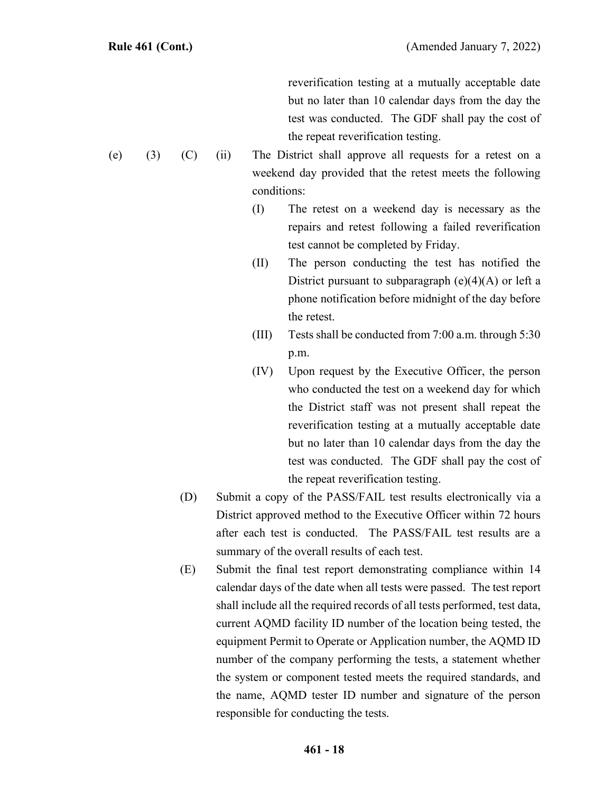reverification testing at a mutually acceptable date but no later than 10 calendar days from the day the test was conducted. The GDF shall pay the cost of the repeat reverification testing.

- (ii) The District shall approve all requests for a retest on a weekend day provided that the retest meets the following conditions:
	- (I) The retest on a weekend day is necessary as the repairs and retest following a failed reverification test cannot be completed by Friday.
	- (II) The person conducting the test has notified the District pursuant to subparagraph  $(e)(4)(A)$  or left a phone notification before midnight of the day before the retest.
	- (III) Tests shall be conducted from 7:00 a.m. through 5:30 p.m.
	- (IV) Upon request by the Executive Officer, the person who conducted the test on a weekend day for which the District staff was not present shall repeat the reverification testing at a mutually acceptable date but no later than 10 calendar days from the day the test was conducted. The GDF shall pay the cost of the repeat reverification testing.
- (D) Submit a copy of the PASS/FAIL test results electronically via a District approved method to the Executive Officer within 72 hours after each test is conducted. The PASS/FAIL test results are a summary of the overall results of each test.
- (E) Submit the final test report demonstrating compliance within 14 calendar days of the date when all tests were passed. The test report shall include all the required records of all tests performed, test data, current AQMD facility ID number of the location being tested, the equipment Permit to Operate or Application number, the AQMD ID number of the company performing the tests, a statement whether the system or component tested meets the required standards, and the name, AQMD tester ID number and signature of the person responsible for conducting the tests.

(e)  $(3)$   $(C)$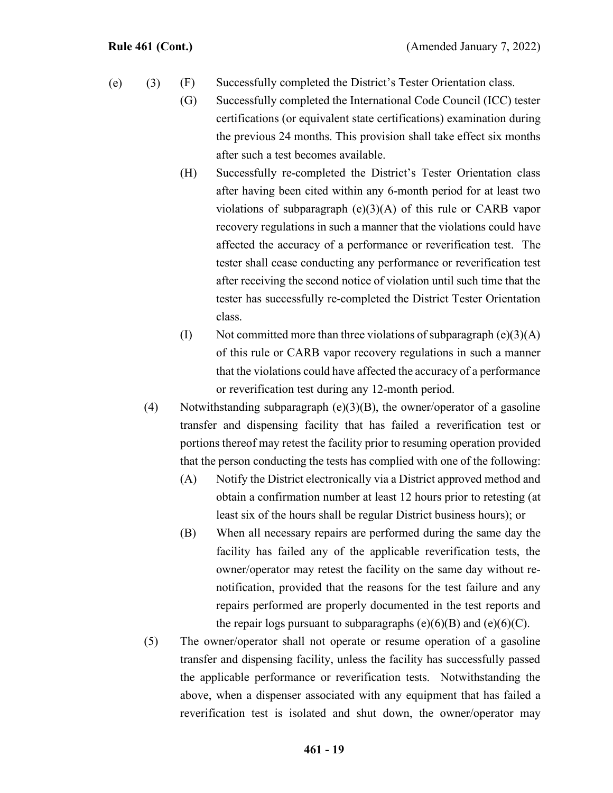- (F) Successfully completed the District's Tester Orientation class.  $(e)$  (3)
	- (G) Successfully completed the International Code Council (ICC) tester certifications (or equivalent state certifications) examination during the previous 24 months. This provision shall take effect six months after such a test becomes available.
	- (H) Successfully re-completed the District's Tester Orientation class after having been cited within any 6-month period for at least two violations of subparagraph  $(e)(3)(A)$  of this rule or CARB vapor recovery regulations in such a manner that the violations could have affected the accuracy of a performance or reverification test. The tester shall cease conducting any performance or reverification test after receiving the second notice of violation until such time that the tester has successfully re-completed the District Tester Orientation class.
	- (I) Not committed more than three violations of subparagraph  $(e)(3)(A)$ of this rule or CARB vapor recovery regulations in such a manner that the violations could have affected the accuracy of a performance or reverification test during any 12-month period.
	- (4) Notwithstanding subparagraph  $(e)(3)(B)$ , the owner/operator of a gasoline transfer and dispensing facility that has failed a reverification test or portions thereof may retest the facility prior to resuming operation provided that the person conducting the tests has complied with one of the following:
		- (A) Notify the District electronically via a District approved method and obtain a confirmation number at least 12 hours prior to retesting (at least six of the hours shall be regular District business hours); or
		- (B) When all necessary repairs are performed during the same day the facility has failed any of the applicable reverification tests, the owner/operator may retest the facility on the same day without renotification, provided that the reasons for the test failure and any repairs performed are properly documented in the test reports and the repair logs pursuant to subparagraphs  $(e)(6)(B)$  and  $(e)(6)(C)$ .
	- (5) The owner/operator shall not operate or resume operation of a gasoline transfer and dispensing facility, unless the facility has successfully passed the applicable performance or reverification tests. Notwithstanding the above, when a dispenser associated with any equipment that has failed a reverification test is isolated and shut down, the owner/operator may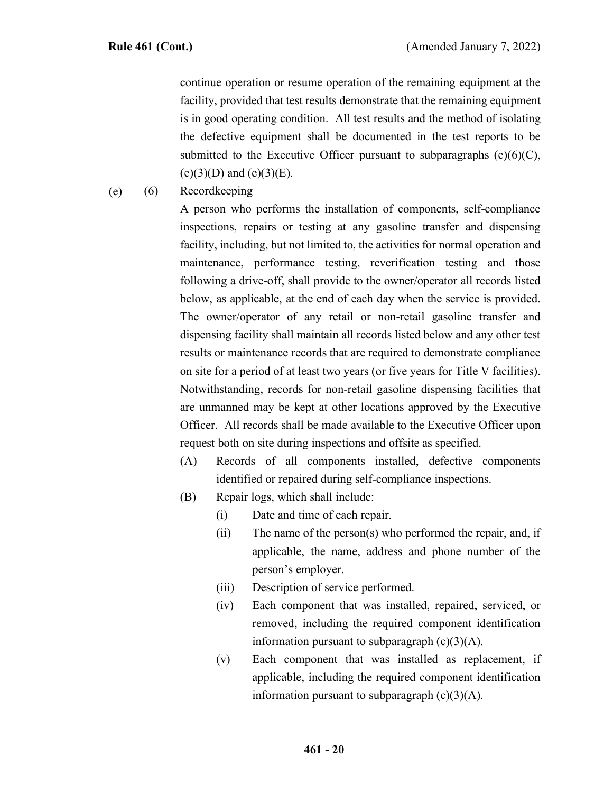continue operation or resume operation of the remaining equipment at the facility, provided that test results demonstrate that the remaining equipment is in good operating condition. All test results and the method of isolating the defective equipment shall be documented in the test reports to be submitted to the Executive Officer pursuant to subparagraphs  $(e)(6)(C)$ ,  $(e)(3)(D)$  and  $(e)(3)(E)$ .

(6) Recordkeeping (e)

> A person who performs the installation of components, self-compliance inspections, repairs or testing at any gasoline transfer and dispensing facility, including, but not limited to, the activities for normal operation and maintenance, performance testing, reverification testing and those following a drive-off, shall provide to the owner/operator all records listed below, as applicable, at the end of each day when the service is provided. The owner/operator of any retail or non-retail gasoline transfer and dispensing facility shall maintain all records listed below and any other test results or maintenance records that are required to demonstrate compliance on site for a period of at least two years (or five years for Title V facilities). Notwithstanding, records for non-retail gasoline dispensing facilities that are unmanned may be kept at other locations approved by the Executive Officer. All records shall be made available to the Executive Officer upon request both on site during inspections and offsite as specified.

- (A) Records of all components installed, defective components identified or repaired during self-compliance inspections.
- (B) Repair logs, which shall include:
	- (i) Date and time of each repair.
	- (ii) The name of the person(s) who performed the repair, and, if applicable, the name, address and phone number of the person's employer.
	- (iii) Description of service performed.
	- (iv) Each component that was installed, repaired, serviced, or removed, including the required component identification information pursuant to subparagraph  $(c)(3)(A)$ .
	- (v) Each component that was installed as replacement, if applicable, including the required component identification information pursuant to subparagraph  $(c)(3)(A)$ .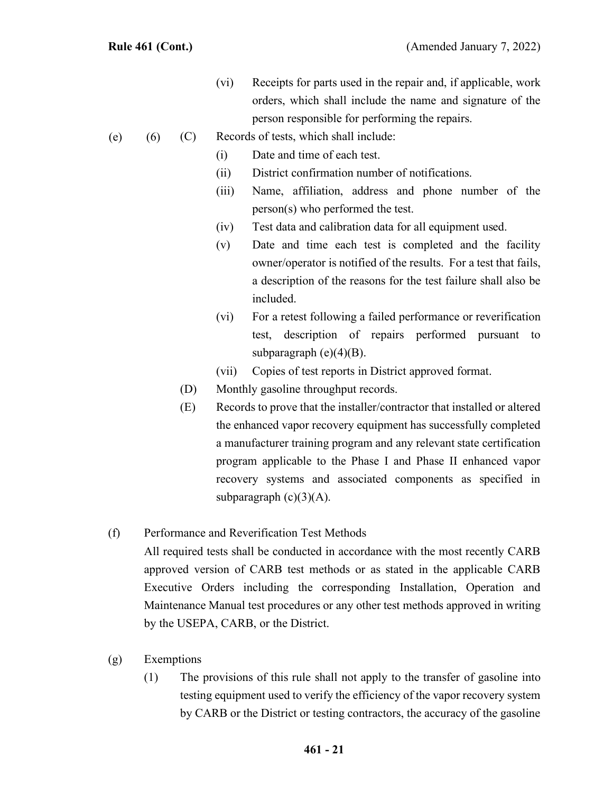- (vi) Receipts for parts used in the repair and, if applicable, work orders, which shall include the name and signature of the person responsible for performing the repairs.
- (C) Records of tests, which shall include:  $(e)$  (6)
	- (i) Date and time of each test.
	- (ii) District confirmation number of notifications.
	- (iii) Name, affiliation, address and phone number of the person(s) who performed the test.
	- (iv) Test data and calibration data for all equipment used.
	- (v) Date and time each test is completed and the facility owner/operator is notified of the results. For a test that fails, a description of the reasons for the test failure shall also be included.
	- (vi) For a retest following a failed performance or reverification test, description of repairs performed pursuant to subparagraph  $(e)(4)(B)$ .
	- (vii) Copies of test reports in District approved format.
	- (D) Monthly gasoline throughput records.
	- (E) Records to prove that the installer/contractor that installed or altered the enhanced vapor recovery equipment has successfully completed a manufacturer training program and any relevant state certification program applicable to the Phase I and Phase II enhanced vapor recovery systems and associated components as specified in subparagraph  $(c)(3)(A)$ .

# (f) Performance and Reverification Test Methods

All required tests shall be conducted in accordance with the most recently CARB approved version of CARB test methods or as stated in the applicable CARB Executive Orders including the corresponding Installation, Operation and Maintenance Manual test procedures or any other test methods approved in writing by the USEPA, CARB, or the District.

- (g) Exemptions
	- (1) The provisions of this rule shall not apply to the transfer of gasoline into testing equipment used to verify the efficiency of the vapor recovery system by CARB or the District or testing contractors, the accuracy of the gasoline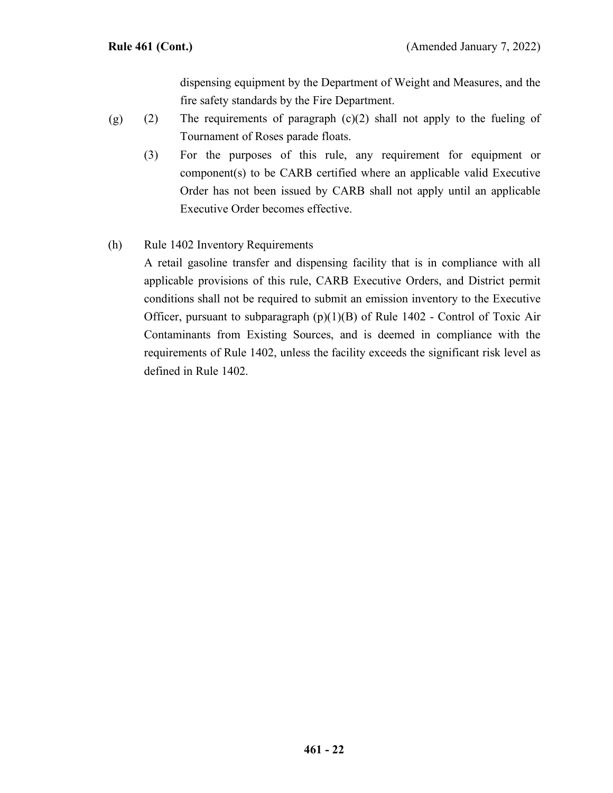dispensing equipment by the Department of Weight and Measures, and the fire safety standards by the Fire Department.

- (2) The requirements of paragraph (c)(2) shall not apply to the fueling of Tournament of Roses parade floats. (g)
	- (3) For the purposes of this rule, any requirement for equipment or component(s) to be CARB certified where an applicable valid Executive Order has not been issued by CARB shall not apply until an applicable Executive Order becomes effective.

# (h) Rule 1402 Inventory Requirements

A retail gasoline transfer and dispensing facility that is in compliance with all applicable provisions of this rule, CARB Executive Orders, and District permit conditions shall not be required to submit an emission inventory to the Executive Officer, pursuant to subparagraph  $(p)(1)(B)$  of Rule 1402 - Control of Toxic Air Contaminants from Existing Sources, and is deemed in compliance with the requirements of Rule 1402, unless the facility exceeds the significant risk level as defined in Rule 1402.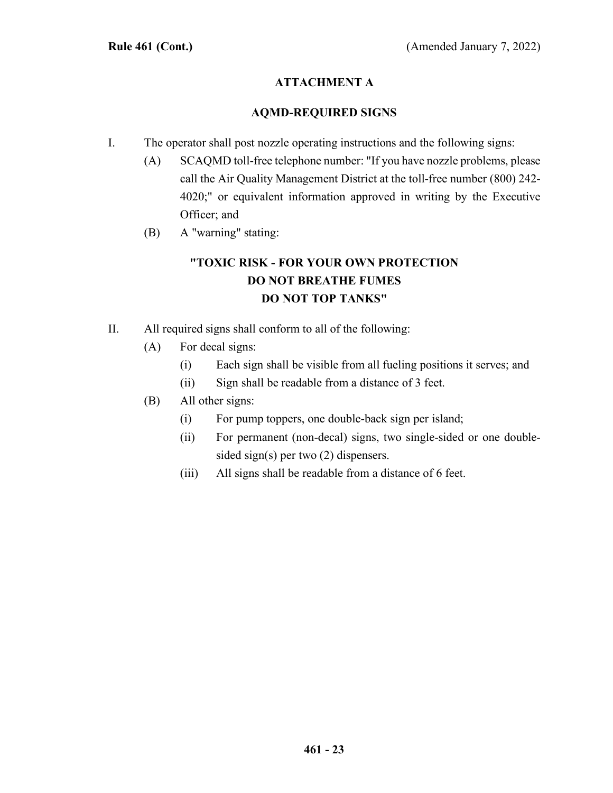# **ATTACHMENT A**

### **AQMD-REQUIRED SIGNS**

- I. The operator shall post nozzle operating instructions and the following signs:
	- (A) SCAQMD toll-free telephone number: "If you have nozzle problems, please call the Air Quality Management District at the toll-free number (800) 242- 4020;" or equivalent information approved in writing by the Executive Officer; and
	- (B) A "warning" stating:

# **"TOXIC RISK - FOR YOUR OWN PROTECTION DO NOT BREATHE FUMES DO NOT TOP TANKS"**

- II. All required signs shall conform to all of the following:
	- (A) For decal signs:
		- (i) Each sign shall be visible from all fueling positions it serves; and
		- (ii) Sign shall be readable from a distance of 3 feet.
	- (B) All other signs:
		- (i) For pump toppers, one double-back sign per island;
		- (ii) For permanent (non-decal) signs, two single-sided or one doublesided sign(s) per two (2) dispensers.
		- (iii) All signs shall be readable from a distance of 6 feet.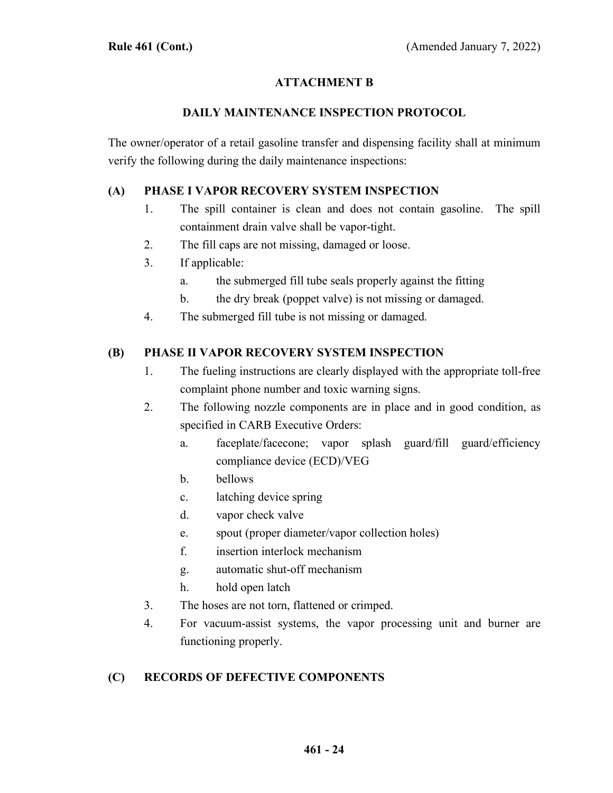# **ATTACHMENT B**

#### **DAILY MAINTENANCE INSPECTION PROTOCOL**

The owner/operator of a retail gasoline transfer and dispensing facility shall at minimum verify the following during the daily maintenance inspections:

### **(A) PHASE I VAPOR RECOVERY SYSTEM INSPECTION**

- 1. The spill container is clean and does not contain gasoline. The spill containment drain valve shall be vapor-tight.
- 2. The fill caps are not missing, damaged or loose.
- 3. If applicable:
	- a. the submerged fill tube seals properly against the fitting
	- b. the dry break (poppet valve) is not missing or damaged.
- 4. The submerged fill tube is not missing or damaged.

### **(B) PHASE II VAPOR RECOVERY SYSTEM INSPECTION**

- 1. The fueling instructions are clearly displayed with the appropriate toll-free complaint phone number and toxic warning signs.
- 2. The following nozzle components are in place and in good condition, as specified in CARB Executive Orders:
	- a. faceplate/facecone; vapor splash guard/fill guard/efficiency compliance device (ECD)/VEG
	- b. bellows
	- c. latching device spring
	- d. vapor check valve
	- e. spout (proper diameter/vapor collection holes)
	- f. insertion interlock mechanism
	- g. automatic shut-off mechanism
	- h. hold open latch
- 3. The hoses are not torn, flattened or crimped.
- 4. For vacuum-assist systems, the vapor processing unit and burner are functioning properly.

# **(C) RECORDS OF DEFECTIVE COMPONENTS**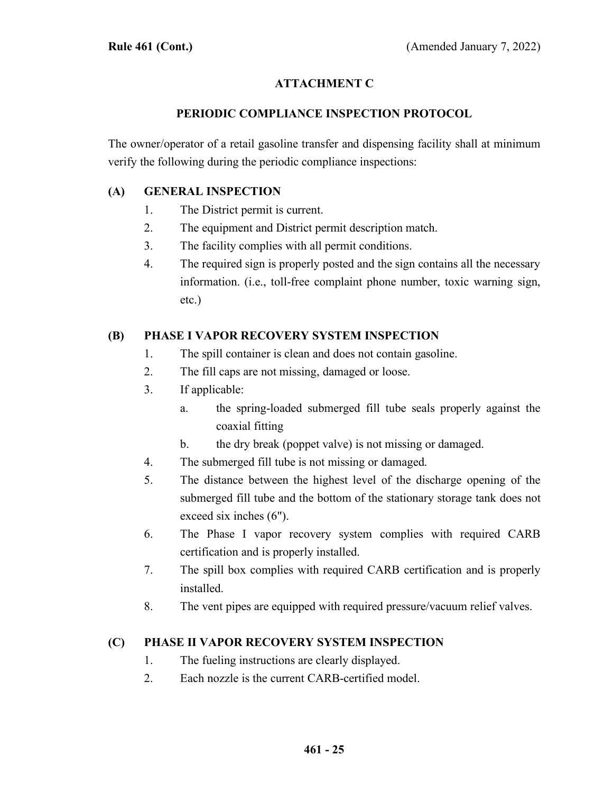# **ATTACHMENT C**

## **PERIODIC COMPLIANCE INSPECTION PROTOCOL**

The owner/operator of a retail gasoline transfer and dispensing facility shall at minimum verify the following during the periodic compliance inspections:

### **(A) GENERAL INSPECTION**

- 1. The District permit is current.
- 2. The equipment and District permit description match.
- 3. The facility complies with all permit conditions.
- 4. The required sign is properly posted and the sign contains all the necessary information. (i.e., toll-free complaint phone number, toxic warning sign, etc.)

# **(B) PHASE I VAPOR RECOVERY SYSTEM INSPECTION**

- 1. The spill container is clean and does not contain gasoline.
- 2. The fill caps are not missing, damaged or loose.
- 3. If applicable:
	- a. the spring-loaded submerged fill tube seals properly against the coaxial fitting
	- b. the dry break (poppet valve) is not missing or damaged.
- 4. The submerged fill tube is not missing or damaged.
- 5. The distance between the highest level of the discharge opening of the submerged fill tube and the bottom of the stationary storage tank does not exceed six inches (6").
- 6. The Phase I vapor recovery system complies with required CARB certification and is properly installed.
- 7. The spill box complies with required CARB certification and is properly installed.
- 8. The vent pipes are equipped with required pressure/vacuum relief valves.

### **(C) PHASE II VAPOR RECOVERY SYSTEM INSPECTION**

- 1. The fueling instructions are clearly displayed.
- 2. Each nozzle is the current CARB-certified model.